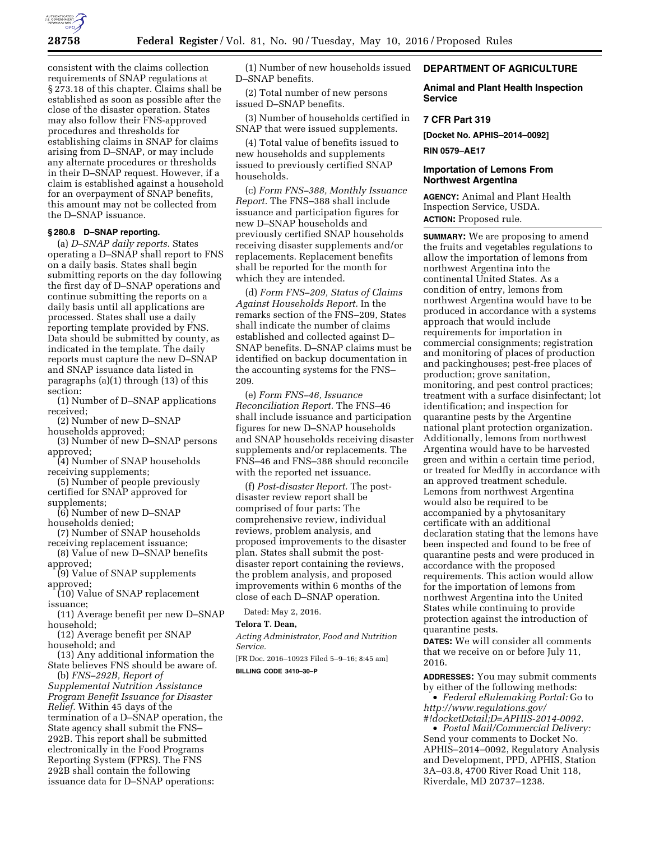

consistent with the claims collection requirements of SNAP regulations at § 273.18 of this chapter. Claims shall be established as soon as possible after the close of the disaster operation. States may also follow their FNS-approved procedures and thresholds for establishing claims in SNAP for claims arising from D–SNAP, or may include any alternate procedures or thresholds in their D–SNAP request. However, if a claim is established against a household for an overpayment of SNAP benefits, this amount may not be collected from the D–SNAP issuance.

### **§ 280.8 D–SNAP reporting.**

(a) *D–SNAP daily reports.* States operating a D–SNAP shall report to FNS on a daily basis. States shall begin submitting reports on the day following the first day of D–SNAP operations and continue submitting the reports on a daily basis until all applications are processed. States shall use a daily reporting template provided by FNS. Data should be submitted by county, as indicated in the template. The daily reports must capture the new D–SNAP and SNAP issuance data listed in paragraphs (a)(1) through (13) of this section:

(1) Number of D–SNAP applications received;

(2) Number of new D–SNAP

households approved; (3) Number of new D–SNAP persons approved;

(4) Number of SNAP households receiving supplements;

(5) Number of people previously certified for SNAP approved for supplements;

(6) Number of new D–SNAP

households denied; (7) Number of SNAP households

receiving replacement issuance; (8) Value of new D–SNAP benefits

approved;

(9) Value of SNAP supplements approved;

(10) Value of SNAP replacement issuance;

(11) Average benefit per new D–SNAP household;

(12) Average benefit per SNAP household; and

(13) Any additional information the State believes FNS should be aware of.

(b) *FNS–292B, Report of Supplemental Nutrition Assistance Program Benefit Issuance for Disaster Relief.* Within 45 days of the termination of a D–SNAP operation, the State agency shall submit the FNS– 292B. This report shall be submitted electronically in the Food Programs Reporting System (FPRS). The FNS 292B shall contain the following issuance data for D–SNAP operations:

(1) Number of new households issued D–SNAP benefits.

(2) Total number of new persons issued D–SNAP benefits.

(3) Number of households certified in SNAP that were issued supplements.

(4) Total value of benefits issued to new households and supplements issued to previously certified SNAP households.

(c) *Form FNS–388, Monthly Issuance Report.* The FNS–388 shall include issuance and participation figures for new D–SNAP households and previously certified SNAP households receiving disaster supplements and/or replacements. Replacement benefits shall be reported for the month for which they are intended.

(d) *Form FNS–209, Status of Claims Against Households Report.* In the remarks section of the FNS–209, States shall indicate the number of claims established and collected against D– SNAP benefits. D–SNAP claims must be identified on backup documentation in the accounting systems for the FNS– 209.

(e) *Form FNS–46, Issuance Reconciliation Report.* The FNS–46 shall include issuance and participation figures for new D–SNAP households and SNAP households receiving disaster supplements and/or replacements. The FNS–46 and FNS–388 should reconcile with the reported net issuance.

(f) *Post-disaster Report.* The postdisaster review report shall be comprised of four parts: The comprehensive review, individual reviews, problem analysis, and proposed improvements to the disaster plan. States shall submit the postdisaster report containing the reviews, the problem analysis, and proposed improvements within 6 months of the close of each D–SNAP operation.

Dated: May 2, 2016.

# **Telora T. Dean,**

*Acting Administrator, Food and Nutrition Service.* 

[FR Doc. 2016–10923 Filed 5–9–16; 8:45 am]

**BILLING CODE 3410–30–P** 

# **DEPARTMENT OF AGRICULTURE**

**Animal and Plant Health Inspection Service** 

### **7 CFR Part 319**

**[Docket No. APHIS–2014–0092]** 

**RIN 0579–AE17** 

### **Importation of Lemons From Northwest Argentina**

**AGENCY:** Animal and Plant Health Inspection Service, USDA. **ACTION:** Proposed rule.

**SUMMARY:** We are proposing to amend the fruits and vegetables regulations to allow the importation of lemons from northwest Argentina into the continental United States. As a condition of entry, lemons from northwest Argentina would have to be produced in accordance with a systems approach that would include requirements for importation in commercial consignments; registration and monitoring of places of production and packinghouses; pest-free places of production; grove sanitation, monitoring, and pest control practices; treatment with a surface disinfectant; lot identification; and inspection for quarantine pests by the Argentine national plant protection organization. Additionally, lemons from northwest Argentina would have to be harvested green and within a certain time period, or treated for Medfly in accordance with an approved treatment schedule. Lemons from northwest Argentina would also be required to be accompanied by a phytosanitary certificate with an additional declaration stating that the lemons have been inspected and found to be free of quarantine pests and were produced in accordance with the proposed requirements. This action would allow for the importation of lemons from northwest Argentina into the United States while continuing to provide protection against the introduction of quarantine pests.

**DATES:** We will consider all comments that we receive on or before July 11, 2016.

**ADDRESSES:** You may submit comments by either of the following methods:

• *Federal eRulemaking Portal:* Go to *[http://www.regulations.gov/](http://www.regulations.gov/#!docketDetail;D=APHIS-2014-0092) [#!docketDetail;D=APHIS-2014-0092.](http://www.regulations.gov/#!docketDetail;D=APHIS-2014-0092)* 

• *Postal Mail/Commercial Delivery:*  Send your comments to Docket No. APHIS–2014–0092, Regulatory Analysis and Development, PPD, APHIS, Station 3A–03.8, 4700 River Road Unit 118, Riverdale, MD 20737–1238.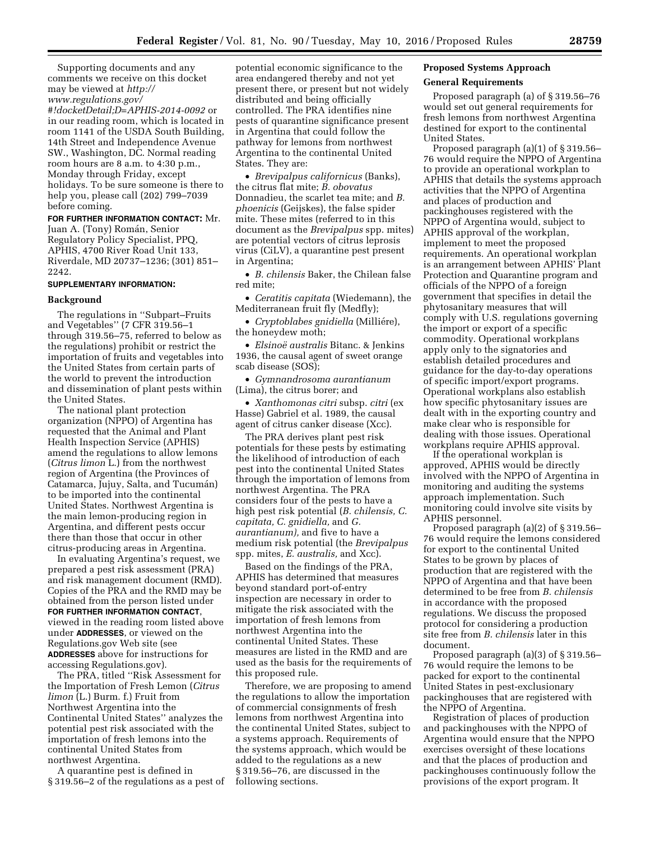Supporting documents and any comments we receive on this docket may be viewed at *[http://](http://www.regulations.gov/#!docketDetail;D=APHIS-2014-0092) [www.regulations.gov/](http://www.regulations.gov/#!docketDetail;D=APHIS-2014-0092)*

*[#!docketDetail;D=APHIS-2014-0092](http://www.regulations.gov/#!docketDetail;D=APHIS-2014-0092)* or in our reading room, which is located in room 1141 of the USDA South Building, 14th Street and Independence Avenue SW., Washington, DC. Normal reading room hours are 8 a.m. to 4:30 p.m., Monday through Friday, except holidays. To be sure someone is there to help you, please call (202) 799–7039 before coming.

**FOR FURTHER INFORMATION CONTACT:** Mr. Juan A. (Tony) Román, Senior Regulatory Policy Specialist, PPQ, APHIS, 4700 River Road Unit 133, Riverdale, MD 20737–1236; (301) 851– 2242.

### **SUPPLEMENTARY INFORMATION:**

# **Background**

The regulations in ''Subpart–Fruits and Vegetables'' (7 CFR 319.56–1 through 319.56–75, referred to below as the regulations) prohibit or restrict the importation of fruits and vegetables into the United States from certain parts of the world to prevent the introduction and dissemination of plant pests within the United States.

The national plant protection organization (NPPO) of Argentina has requested that the Animal and Plant Health Inspection Service (APHIS) amend the regulations to allow lemons (*Citrus limon* L.) from the northwest region of Argentina (the Provinces of Catamarca, Jujuy, Salta, and Tucumán) to be imported into the continental United States. Northwest Argentina is the main lemon-producing region in Argentina, and different pests occur there than those that occur in other citrus-producing areas in Argentina.

In evaluating Argentina's request, we prepared a pest risk assessment (PRA) and risk management document (RMD). Copies of the PRA and the RMD may be obtained from the person listed under **FOR FURTHER INFORMATION CONTACT**, viewed in the reading room listed above under **ADDRESSES**, or viewed on the Regulations.gov Web site (see **ADDRESSES** above for instructions for accessing Regulations.gov).

The PRA, titled ''Risk Assessment for the Importation of Fresh Lemon (*Citrus limon* (L.) Burm. f.) Fruit from Northwest Argentina into the Continental United States'' analyzes the potential pest risk associated with the importation of fresh lemons into the continental United States from northwest Argentina.

A quarantine pest is defined in § 319.56–2 of the regulations as a pest of

potential economic significance to the area endangered thereby and not yet present there, or present but not widely distributed and being officially controlled. The PRA identifies nine pests of quarantine significance present in Argentina that could follow the pathway for lemons from northwest Argentina to the continental United States. They are:

• *Brevipalpus californicus* (Banks), the citrus flat mite; *B. obovatus*  Donnadieu, the scarlet tea mite; and *B. phoenicis* (Geijskes), the false spider mite. These mites (referred to in this document as the *Brevipalpus* spp. mites) are potential vectors of citrus leprosis virus (CiLV), a quarantine pest present in Argentina;

• *B. chilensis* Baker, the Chilean false red mite;

• *Ceratitis capitata* (Wiedemann), the Mediterranean fruit fly (Medfly);

• *Cryptoblabes gnidiella* (Milliére), the honeydew moth;

• *Elsinoe¨ australis* Bitanc. & Jenkins 1936, the causal agent of sweet orange scab disease (SOS);

• *Gymnandrosoma aurantianum*  (Lima), the citrus borer; and

• *Xanthomonas citri* subsp. *citri* (ex Hasse) Gabriel et al. 1989, the causal agent of citrus canker disease (Xcc).

The PRA derives plant pest risk potentials for these pests by estimating the likelihood of introduction of each pest into the continental United States through the importation of lemons from northwest Argentina. The PRA considers four of the pests to have a high pest risk potential (*B. chilensis, C. capitata, C. gnidiella,* and *G. aurantianum),* and five to have a medium risk potential (the *Brevipalpus*  spp. mites, *E. australis,* and Xcc).

Based on the findings of the PRA, APHIS has determined that measures beyond standard port-of-entry inspection are necessary in order to mitigate the risk associated with the importation of fresh lemons from northwest Argentina into the continental United States. These measures are listed in the RMD and are used as the basis for the requirements of this proposed rule.

Therefore, we are proposing to amend the regulations to allow the importation of commercial consignments of fresh lemons from northwest Argentina into the continental United States, subject to a systems approach. Requirements of the systems approach, which would be added to the regulations as a new § 319.56–76, are discussed in the following sections.

# **Proposed Systems Approach**

### **General Requirements**

Proposed paragraph (a) of § 319.56–76 would set out general requirements for fresh lemons from northwest Argentina destined for export to the continental United States.

Proposed paragraph (a)(1) of § 319.56– 76 would require the NPPO of Argentina to provide an operational workplan to APHIS that details the systems approach activities that the NPPO of Argentina and places of production and packinghouses registered with the NPPO of Argentina would, subject to APHIS approval of the workplan, implement to meet the proposed requirements. An operational workplan is an arrangement between APHIS' Plant Protection and Quarantine program and officials of the NPPO of a foreign government that specifies in detail the phytosanitary measures that will comply with U.S. regulations governing the import or export of a specific commodity. Operational workplans apply only to the signatories and establish detailed procedures and guidance for the day-to-day operations of specific import/export programs. Operational workplans also establish how specific phytosanitary issues are dealt with in the exporting country and make clear who is responsible for dealing with those issues. Operational workplans require APHIS approval.

If the operational workplan is approved, APHIS would be directly involved with the NPPO of Argentina in monitoring and auditing the systems approach implementation. Such monitoring could involve site visits by APHIS personnel.

Proposed paragraph (a)(2) of § 319.56– 76 would require the lemons considered for export to the continental United States to be grown by places of production that are registered with the NPPO of Argentina and that have been determined to be free from *B. chilensis*  in accordance with the proposed regulations. We discuss the proposed protocol for considering a production site free from *B. chilensis* later in this document.

Proposed paragraph (a)(3) of § 319.56– 76 would require the lemons to be packed for export to the continental United States in pest-exclusionary packinghouses that are registered with the NPPO of Argentina.

Registration of places of production and packinghouses with the NPPO of Argentina would ensure that the NPPO exercises oversight of these locations and that the places of production and packinghouses continuously follow the provisions of the export program. It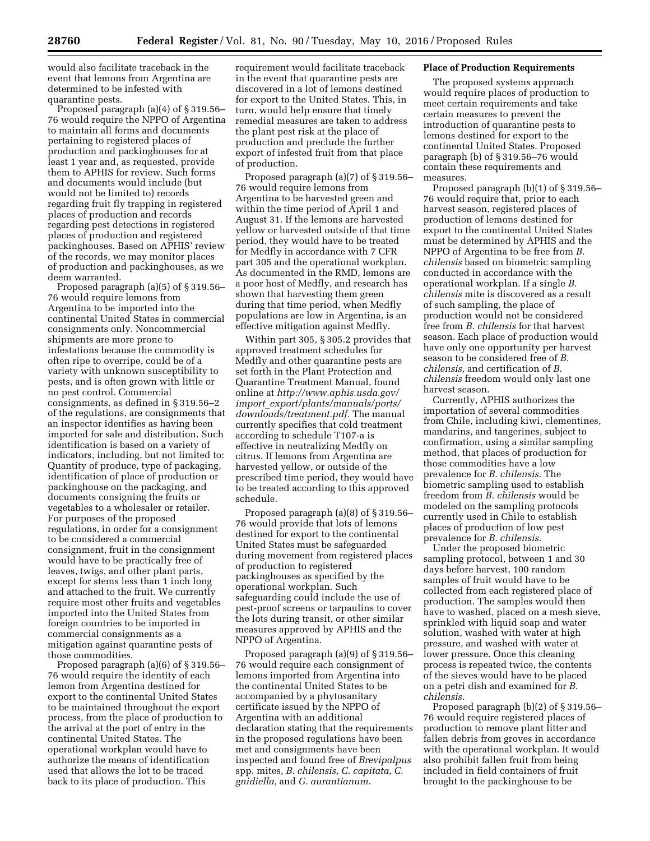would also facilitate traceback in the event that lemons from Argentina are determined to be infested with quarantine pests.

Proposed paragraph (a)(4) of § 319.56– 76 would require the NPPO of Argentina to maintain all forms and documents pertaining to registered places of production and packinghouses for at least 1 year and, as requested, provide them to APHIS for review. Such forms and documents would include (but would not be limited to) records regarding fruit fly trapping in registered places of production and records regarding pest detections in registered places of production and registered packinghouses. Based on APHIS' review of the records, we may monitor places of production and packinghouses, as we deem warranted.

Proposed paragraph (a)(5) of § 319.56– 76 would require lemons from Argentina to be imported into the continental United States in commercial consignments only. Noncommercial shipments are more prone to infestations because the commodity is often ripe to overripe, could be of a variety with unknown susceptibility to pests, and is often grown with little or no pest control. Commercial consignments, as defined in § 319.56–2 of the regulations, are consignments that an inspector identifies as having been imported for sale and distribution. Such identification is based on a variety of indicators, including, but not limited to: Quantity of produce, type of packaging, identification of place of production or packinghouse on the packaging, and documents consigning the fruits or vegetables to a wholesaler or retailer. For purposes of the proposed regulations, in order for a consignment to be considered a commercial consignment, fruit in the consignment would have to be practically free of leaves, twigs, and other plant parts, except for stems less than 1 inch long and attached to the fruit. We currently require most other fruits and vegetables imported into the United States from foreign countries to be imported in commercial consignments as a mitigation against quarantine pests of those commodities.

Proposed paragraph (a)(6) of § 319.56– 76 would require the identity of each lemon from Argentina destined for export to the continental United States to be maintained throughout the export process, from the place of production to the arrival at the port of entry in the continental United States. The operational workplan would have to authorize the means of identification used that allows the lot to be traced back to its place of production. This

requirement would facilitate traceback in the event that quarantine pests are discovered in a lot of lemons destined for export to the United States. This, in turn, would help ensure that timely remedial measures are taken to address the plant pest risk at the place of production and preclude the further export of infested fruit from that place of production.

Proposed paragraph (a)(7) of § 319.56– 76 would require lemons from Argentina to be harvested green and within the time period of April 1 and August 31. If the lemons are harvested yellow or harvested outside of that time period, they would have to be treated for Medfly in accordance with 7 CFR part 305 and the operational workplan. As documented in the RMD, lemons are a poor host of Medfly, and research has shown that harvesting them green during that time period, when Medfly populations are low in Argentina, is an effective mitigation against Medfly.

Within part 305, § 305.2 provides that approved treatment schedules for Medfly and other quarantine pests are set forth in the Plant Protection and Quarantine Treatment Manual, found online at *[http://www.aphis.usda.gov/](http://www.aphis.usda.gov/import_export/plants/manuals/ports/downloads/treatment.pdf)  import*\_*[export/plants/manuals/ports/](http://www.aphis.usda.gov/import_export/plants/manuals/ports/downloads/treatment.pdf)  [downloads/treatment.pdf.](http://www.aphis.usda.gov/import_export/plants/manuals/ports/downloads/treatment.pdf)* The manual currently specifies that cold treatment according to schedule T107-a is effective in neutralizing Medfly on citrus. If lemons from Argentina are harvested yellow, or outside of the prescribed time period, they would have to be treated according to this approved schedule.

Proposed paragraph (a)(8) of § 319.56– 76 would provide that lots of lemons destined for export to the continental United States must be safeguarded during movement from registered places of production to registered packinghouses as specified by the operational workplan. Such safeguarding could include the use of pest-proof screens or tarpaulins to cover the lots during transit, or other similar measures approved by APHIS and the NPPO of Argentina.

Proposed paragraph (a)(9) of § 319.56– 76 would require each consignment of lemons imported from Argentina into the continental United States to be accompanied by a phytosanitary certificate issued by the NPPO of Argentina with an additional declaration stating that the requirements in the proposed regulations have been met and consignments have been inspected and found free of *Brevipalpus*  spp. mites, *B. chilensis, C. capitata, C. gnidiella,* and *G. aurantianum.* 

# **Place of Production Requirements**

The proposed systems approach would require places of production to meet certain requirements and take certain measures to prevent the introduction of quarantine pests to lemons destined for export to the continental United States. Proposed paragraph (b) of § 319.56–76 would contain these requirements and measures.

Proposed paragraph (b)(1) of § 319.56– 76 would require that, prior to each harvest season, registered places of production of lemons destined for export to the continental United States must be determined by APHIS and the NPPO of Argentina to be free from *B. chilensis* based on biometric sampling conducted in accordance with the operational workplan. If a single *B. chilensis* mite is discovered as a result of such sampling, the place of production would not be considered free from *B. chilensis* for that harvest season. Each place of production would have only one opportunity per harvest season to be considered free of *B. chilensis,* and certification of *B. chilensis* freedom would only last one harvest season.

Currently, APHIS authorizes the importation of several commodities from Chile, including kiwi, clementines, mandarins, and tangerines, subject to confirmation, using a similar sampling method, that places of production for those commodities have a low prevalence for *B. chilensis.* The biometric sampling used to establish freedom from *B. chilensis* would be modeled on the sampling protocols currently used in Chile to establish places of production of low pest prevalence for *B. chilensis.* 

Under the proposed biometric sampling protocol, between 1 and 30 days before harvest, 100 random samples of fruit would have to be collected from each registered place of production. The samples would then have to washed, placed on a mesh sieve, sprinkled with liquid soap and water solution, washed with water at high pressure, and washed with water at lower pressure. Once this cleaning process is repeated twice, the contents of the sieves would have to be placed on a petri dish and examined for *B. chilensis.* 

Proposed paragraph (b)(2) of § 319.56– 76 would require registered places of production to remove plant litter and fallen debris from groves in accordance with the operational workplan. It would also prohibit fallen fruit from being included in field containers of fruit brought to the packinghouse to be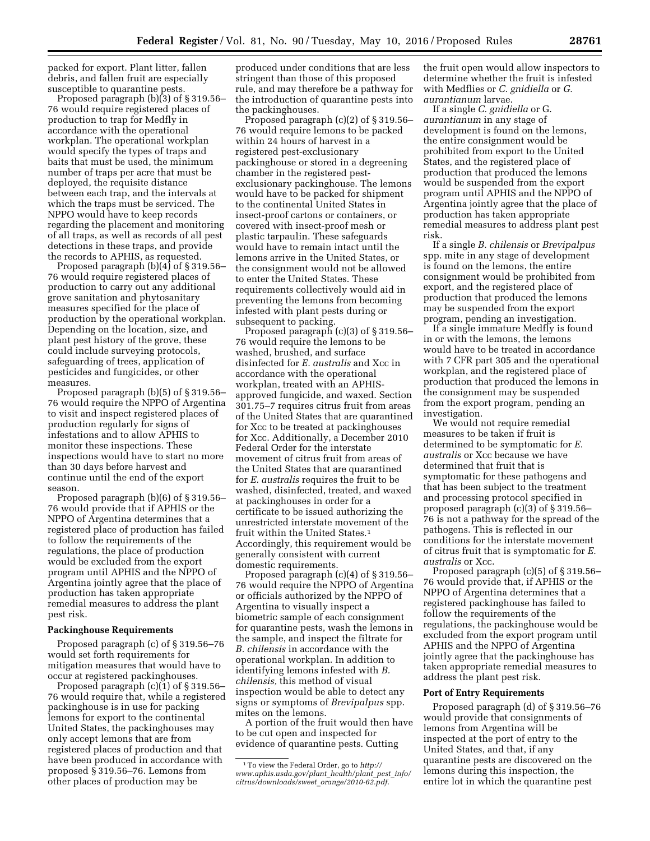packed for export. Plant litter, fallen debris, and fallen fruit are especially susceptible to quarantine pests.

Proposed paragraph (b)(3) of § 319.56– 76 would require registered places of production to trap for Medfly in accordance with the operational workplan. The operational workplan would specify the types of traps and baits that must be used, the minimum number of traps per acre that must be deployed, the requisite distance between each trap, and the intervals at which the traps must be serviced. The NPPO would have to keep records regarding the placement and monitoring of all traps, as well as records of all pest detections in these traps, and provide the records to APHIS, as requested.

Proposed paragraph (b)(4) of § 319.56– 76 would require registered places of production to carry out any additional grove sanitation and phytosanitary measures specified for the place of production by the operational workplan. Depending on the location, size, and plant pest history of the grove, these could include surveying protocols, safeguarding of trees, application of pesticides and fungicides, or other measures.

Proposed paragraph (b)(5) of § 319.56– 76 would require the NPPO of Argentina to visit and inspect registered places of production regularly for signs of infestations and to allow APHIS to monitor these inspections. These inspections would have to start no more than 30 days before harvest and continue until the end of the export season.

Proposed paragraph (b)(6) of § 319.56– 76 would provide that if APHIS or the NPPO of Argentina determines that a registered place of production has failed to follow the requirements of the regulations, the place of production would be excluded from the export program until APHIS and the NPPO of Argentina jointly agree that the place of production has taken appropriate remedial measures to address the plant pest risk.

### **Packinghouse Requirements**

Proposed paragraph (c) of § 319.56–76 would set forth requirements for mitigation measures that would have to occur at registered packinghouses.

Proposed paragraph (c)(1) of § 319.56– 76 would require that, while a registered packinghouse is in use for packing lemons for export to the continental United States, the packinghouses may only accept lemons that are from registered places of production and that have been produced in accordance with proposed § 319.56–76. Lemons from other places of production may be

produced under conditions that are less stringent than those of this proposed rule, and may therefore be a pathway for the introduction of quarantine pests into the packinghouses.

Proposed paragraph (c)(2) of § 319.56– 76 would require lemons to be packed within 24 hours of harvest in a registered pest-exclusionary packinghouse or stored in a degreening chamber in the registered pestexclusionary packinghouse. The lemons would have to be packed for shipment to the continental United States in insect-proof cartons or containers, or covered with insect-proof mesh or plastic tarpaulin. These safeguards would have to remain intact until the lemons arrive in the United States, or the consignment would not be allowed to enter the United States. These requirements collectively would aid in preventing the lemons from becoming infested with plant pests during or subsequent to packing.

Proposed paragraph (c)(3) of § 319.56– 76 would require the lemons to be washed, brushed, and surface disinfected for *E. australis* and Xcc in accordance with the operational workplan, treated with an APHISapproved fungicide, and waxed. Section 301.75–7 requires citrus fruit from areas of the United States that are quarantined for Xcc to be treated at packinghouses for Xcc. Additionally, a December 2010 Federal Order for the interstate movement of citrus fruit from areas of the United States that are quarantined for *E. australis* requires the fruit to be washed, disinfected, treated, and waxed at packinghouses in order for a certificate to be issued authorizing the unrestricted interstate movement of the fruit within the United States.<sup>1</sup> Accordingly, this requirement would be generally consistent with current domestic requirements.

Proposed paragraph (c)(4) of § 319.56– 76 would require the NPPO of Argentina or officials authorized by the NPPO of Argentina to visually inspect a biometric sample of each consignment for quarantine pests, wash the lemons in the sample, and inspect the filtrate for *B. chilensis* in accordance with the operational workplan. In addition to identifying lemons infested with *B. chilensis,* this method of visual inspection would be able to detect any signs or symptoms of *Brevipalpus* spp. mites on the lemons.

A portion of the fruit would then have to be cut open and inspected for evidence of quarantine pests. Cutting

the fruit open would allow inspectors to determine whether the fruit is infested with Medflies or *C. gnidiella* or *G. aurantianum* larvae.

If a single *C. gnidiella* or G. *aurantianum* in any stage of development is found on the lemons, the entire consignment would be prohibited from export to the United States, and the registered place of production that produced the lemons would be suspended from the export program until APHIS and the NPPO of Argentina jointly agree that the place of production has taken appropriate remedial measures to address plant pest risk.

If a single *B. chilensis* or *Brevipalpus*  spp. mite in any stage of development is found on the lemons, the entire consignment would be prohibited from export, and the registered place of production that produced the lemons may be suspended from the export program, pending an investigation.

If a single immature Medfly is found in or with the lemons, the lemons would have to be treated in accordance with 7 CFR part 305 and the operational workplan, and the registered place of production that produced the lemons in the consignment may be suspended from the export program, pending an investigation.

We would not require remedial measures to be taken if fruit is determined to be symptomatic for *E. australis* or Xcc because we have determined that fruit that is symptomatic for these pathogens and that has been subject to the treatment and processing protocol specified in proposed paragraph (c)(3) of § 319.56– 76 is not a pathway for the spread of the pathogens. This is reflected in our conditions for the interstate movement of citrus fruit that is symptomatic for *E. australis* or Xcc.

Proposed paragraph (c)(5) of § 319.56– 76 would provide that, if APHIS or the NPPO of Argentina determines that a registered packinghouse has failed to follow the requirements of the regulations, the packinghouse would be excluded from the export program until APHIS and the NPPO of Argentina jointly agree that the packinghouse has taken appropriate remedial measures to address the plant pest risk.

# **Port of Entry Requirements**

Proposed paragraph (d) of § 319.56–76 would provide that consignments of lemons from Argentina will be inspected at the port of entry to the United States, and that, if any quarantine pests are discovered on the lemons during this inspection, the entire lot in which the quarantine pest

<sup>1</sup>To view the Federal Order, go to *[http://](http://www.aphis.usda.gov/plant_health/plant_pest_info/citrus/downloads/sweet_orange/2010-62.pdf)  [www.aphis.usda.gov/plant](http://www.aphis.usda.gov/plant_health/plant_pest_info/citrus/downloads/sweet_orange/2010-62.pdf)*\_*health/plant*\_*pest*\_*info/ [citrus/downloads/sweet](http://www.aphis.usda.gov/plant_health/plant_pest_info/citrus/downloads/sweet_orange/2010-62.pdf)*\_*orange/2010-62.pdf.*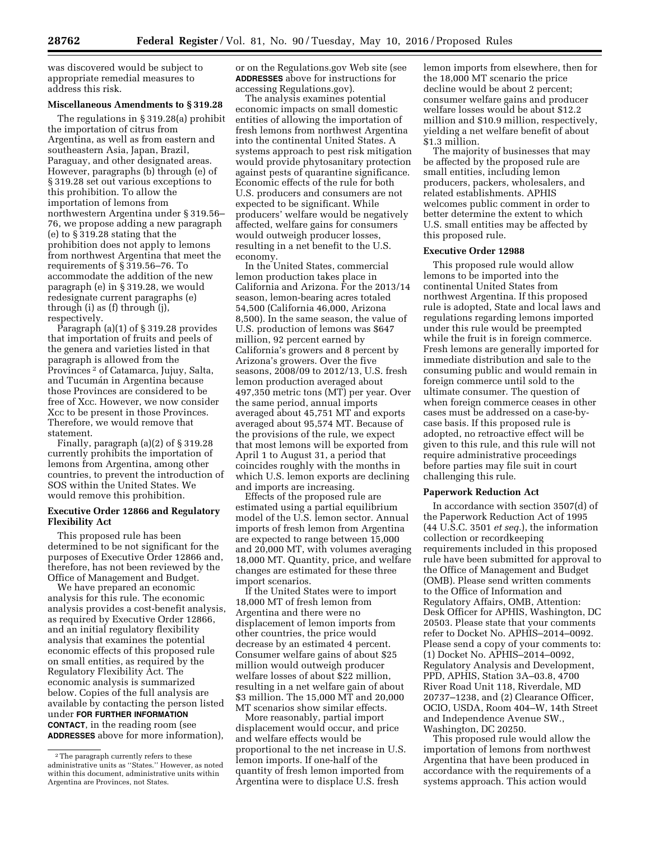was discovered would be subject to appropriate remedial measures to address this risk.

# **Miscellaneous Amendments to § 319.28**

The regulations in § 319.28(a) prohibit the importation of citrus from Argentina, as well as from eastern and southeastern Asia, Japan, Brazil, Paraguay, and other designated areas. However, paragraphs (b) through (e) of § 319.28 set out various exceptions to this prohibition. To allow the importation of lemons from northwestern Argentina under § 319.56– 76, we propose adding a new paragraph (e) to § 319.28 stating that the prohibition does not apply to lemons from northwest Argentina that meet the requirements of § 319.56–76. To accommodate the addition of the new paragraph (e) in § 319.28, we would redesignate current paragraphs (e) through (i) as (f) through (j), respectively.

Paragraph (a)(1) of § 319.28 provides that importation of fruits and peels of the genera and varieties listed in that paragraph is allowed from the Provinces 2 of Catamarca, Jujuy, Salta, and Tucumán in Argentina because those Provinces are considered to be free of Xcc. However, we now consider Xcc to be present in those Provinces. Therefore, we would remove that statement.

Finally, paragraph (a)(2) of § 319.28 currently prohibits the importation of lemons from Argentina, among other countries, to prevent the introduction of SOS within the United States. We would remove this prohibition.

### **Executive Order 12866 and Regulatory Flexibility Act**

This proposed rule has been determined to be not significant for the purposes of Executive Order 12866 and, therefore, has not been reviewed by the Office of Management and Budget.

We have prepared an economic analysis for this rule. The economic analysis provides a cost-benefit analysis, as required by Executive Order 12866, and an initial regulatory flexibility analysis that examines the potential economic effects of this proposed rule on small entities, as required by the Regulatory Flexibility Act. The economic analysis is summarized below. Copies of the full analysis are available by contacting the person listed under **FOR FURTHER INFORMATION CONTACT**, in the reading room (see **ADDRESSES** above for more information),

or on the Regulations.gov Web site (see **ADDRESSES** above for instructions for accessing Regulations.gov).

The analysis examines potential economic impacts on small domestic entities of allowing the importation of fresh lemons from northwest Argentina into the continental United States. A systems approach to pest risk mitigation would provide phytosanitary protection against pests of quarantine significance. Economic effects of the rule for both U.S. producers and consumers are not expected to be significant. While producers' welfare would be negatively affected, welfare gains for consumers would outweigh producer losses, resulting in a net benefit to the U.S. economy.

In the United States, commercial lemon production takes place in California and Arizona. For the 2013/14 season, lemon-bearing acres totaled 54,500 (California 46,000, Arizona 8,500). In the same season, the value of U.S. production of lemons was \$647 million, 92 percent earned by California's growers and 8 percent by Arizona's growers. Over the five seasons, 2008/09 to 2012/13, U.S. fresh lemon production averaged about 497,350 metric tons (MT) per year. Over the same period, annual imports averaged about 45,751 MT and exports averaged about 95,574 MT. Because of the provisions of the rule, we expect that most lemons will be exported from April 1 to August 31, a period that coincides roughly with the months in which U.S. lemon exports are declining and imports are increasing.

Effects of the proposed rule are estimated using a partial equilibrium model of the U.S. lemon sector. Annual imports of fresh lemon from Argentina are expected to range between 15,000 and 20,000 MT, with volumes averaging 18,000 MT. Quantity, price, and welfare changes are estimated for these three import scenarios.

If the United States were to import 18,000 MT of fresh lemon from Argentina and there were no displacement of lemon imports from other countries, the price would decrease by an estimated 4 percent. Consumer welfare gains of about \$25 million would outweigh producer welfare losses of about \$22 million, resulting in a net welfare gain of about \$3 million. The 15,000 MT and 20,000 MT scenarios show similar effects.

More reasonably, partial import displacement would occur, and price and welfare effects would be proportional to the net increase in U.S. lemon imports. If one-half of the quantity of fresh lemon imported from Argentina were to displace U.S. fresh

lemon imports from elsewhere, then for the 18,000 MT scenario the price decline would be about 2 percent; consumer welfare gains and producer welfare losses would be about \$12.2 million and \$10.9 million, respectively, yielding a net welfare benefit of about \$1.3 million.

The majority of businesses that may be affected by the proposed rule are small entities, including lemon producers, packers, wholesalers, and related establishments. APHIS welcomes public comment in order to better determine the extent to which U.S. small entities may be affected by this proposed rule.

# **Executive Order 12988**

This proposed rule would allow lemons to be imported into the continental United States from northwest Argentina. If this proposed rule is adopted, State and local laws and regulations regarding lemons imported under this rule would be preempted while the fruit is in foreign commerce. Fresh lemons are generally imported for immediate distribution and sale to the consuming public and would remain in foreign commerce until sold to the ultimate consumer. The question of when foreign commerce ceases in other cases must be addressed on a case-bycase basis. If this proposed rule is adopted, no retroactive effect will be given to this rule, and this rule will not require administrative proceedings before parties may file suit in court challenging this rule.

#### **Paperwork Reduction Act**

In accordance with section 3507(d) of the Paperwork Reduction Act of 1995 (44 U.S.C. 3501 *et seq.*), the information collection or recordkeeping requirements included in this proposed rule have been submitted for approval to the Office of Management and Budget (OMB). Please send written comments to the Office of Information and Regulatory Affairs, OMB, Attention: Desk Officer for APHIS, Washington, DC 20503. Please state that your comments refer to Docket No. APHIS–2014–0092. Please send a copy of your comments to: (1) Docket No. APHIS–2014–0092, Regulatory Analysis and Development, PPD, APHIS, Station 3A–03.8, 4700 River Road Unit 118, Riverdale, MD 20737–1238, and (2) Clearance Officer, OCIO, USDA, Room 404–W, 14th Street and Independence Avenue SW., Washington, DC 20250.

This proposed rule would allow the importation of lemons from northwest Argentina that have been produced in accordance with the requirements of a systems approach. This action would

<sup>2</sup>The paragraph currently refers to these administrative units as ''States.'' However, as noted within this document, administrative units within Argentina are Provinces, not States.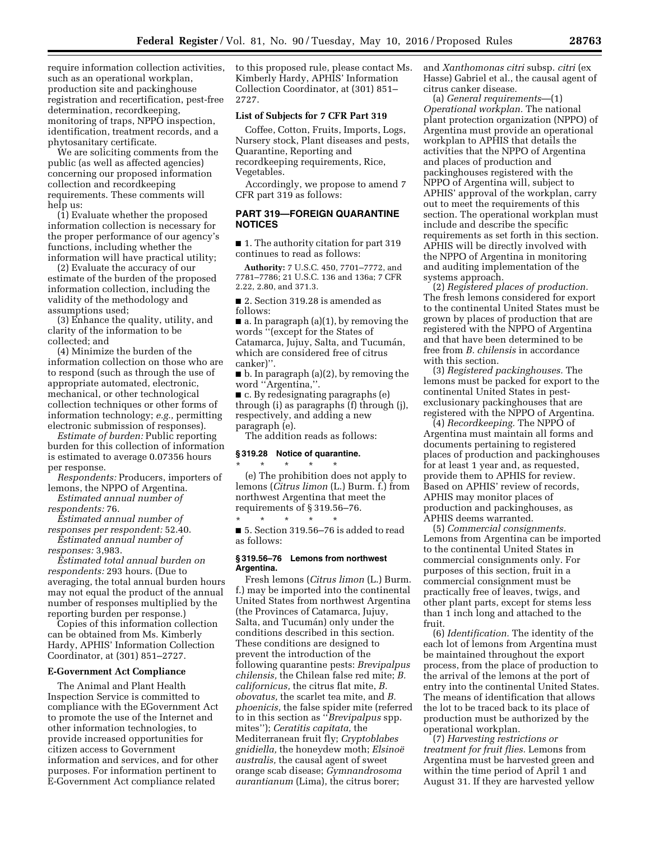require information collection activities, such as an operational workplan, production site and packinghouse registration and recertification, pest-free determination, recordkeeping, monitoring of traps, NPPO inspection, identification, treatment records, and a phytosanitary certificate.

We are soliciting comments from the public (as well as affected agencies) concerning our proposed information collection and recordkeeping requirements. These comments will help us:

(1) Evaluate whether the proposed information collection is necessary for the proper performance of our agency's functions, including whether the information will have practical utility;

(2) Evaluate the accuracy of our estimate of the burden of the proposed information collection, including the validity of the methodology and assumptions used;

(3) Enhance the quality, utility, and clarity of the information to be collected; and

(4) Minimize the burden of the information collection on those who are to respond (such as through the use of appropriate automated, electronic, mechanical, or other technological collection techniques or other forms of information technology; *e.g.,* permitting electronic submission of responses).

*Estimate of burden:* Public reporting burden for this collection of information is estimated to average 0.07356 hours per response.

*Respondents:* Producers, importers of lemons, the NPPO of Argentina.

*Estimated annual number of respondents:* 76.

*Estimated annual number of* 

*responses per respondent:* 52.40. *Estimated annual number of* 

*responses:* 3,983.

*Estimated total annual burden on respondents:* 293 hours. (Due to averaging, the total annual burden hours may not equal the product of the annual number of responses multiplied by the reporting burden per response.)

Copies of this information collection can be obtained from Ms. Kimberly Hardy, APHIS' Information Collection Coordinator, at (301) 851–2727.

#### **E-Government Act Compliance**

The Animal and Plant Health Inspection Service is committed to compliance with the EGovernment Act to promote the use of the Internet and other information technologies, to provide increased opportunities for citizen access to Government information and services, and for other purposes. For information pertinent to E-Government Act compliance related

to this proposed rule, please contact Ms. Kimberly Hardy, APHIS' Information Collection Coordinator, at (301) 851– 2727.

# **List of Subjects for 7 CFR Part 319**

Coffee, Cotton, Fruits, Imports, Logs, Nursery stock, Plant diseases and pests, Quarantine, Reporting and recordkeeping requirements, Rice, Vegetables.

Accordingly, we propose to amend 7 CFR part 319 as follows:

### **PART 319—FOREIGN QUARANTINE NOTICES**

■ 1. The authority citation for part 319 continues to read as follows:

**Authority:** 7 U.S.C. 450, 7701–7772, and 7781–7786; 21 U.S.C. 136 and 136a; 7 CFR 2.22, 2.80, and 371.3.

■ 2. Section 319.28 is amended as follows:

■ a. In paragraph (a)(1), by removing the words ''(except for the States of Catamarca, Jujuy, Salta, and Tucumán, which are considered free of citrus canker)''.

■ b. In paragraph (a)(2), by removing the word "Argentina,"

■ c. By redesignating paragraphs (e) through (i) as paragraphs (f) through (j), respectively, and adding a new paragraph (e).

The addition reads as follows:

# **§ 319.28 Notice of quarantine.**

\* \* \* \* \* (e) The prohibition does not apply to lemons (*Citrus limon* (L.) Burm. f.) from northwest Argentina that meet the requirements of § 319.56–76. \* \* \* \* \*

■ 5. Section 319.56–76 is added to read as follows:

### **§ 319.56–76 Lemons from northwest Argentina.**

Fresh lemons (*Citrus limon* (L.) Burm. f.) may be imported into the continental United States from northwest Argentina (the Provinces of Catamarca, Jujuy, Salta, and Tucumán) only under the conditions described in this section. These conditions are designed to prevent the introduction of the following quarantine pests: *Brevipalpus chilensis,* the Chilean false red mite; *B. californicus,* the citrus flat mite, *B. obovatus,* the scarlet tea mite, and *B. phoenicis,* the false spider mite (referred to in this section as ''*Brevipalpus* spp. mites''); *Ceratitis capitata,* the Mediterranean fruit fly; *Cryptoblabes gnidiella,* the honeydew moth; *Elsinoe¨ australis,* the causal agent of sweet orange scab disease; *Gymnandrosoma aurantianum* (Lima), the citrus borer;

and *Xanthomonas citri* subsp. *citri* (ex Hasse) Gabriel et al., the causal agent of citrus canker disease.

(a) *General requirements*—(1) *Operational workplan.* The national plant protection organization (NPPO) of Argentina must provide an operational workplan to APHIS that details the activities that the NPPO of Argentina and places of production and packinghouses registered with the NPPO of Argentina will, subject to APHIS' approval of the workplan, carry out to meet the requirements of this section. The operational workplan must include and describe the specific requirements as set forth in this section. APHIS will be directly involved with the NPPO of Argentina in monitoring and auditing implementation of the systems approach.

(2) *Registered places of production.*  The fresh lemons considered for export to the continental United States must be grown by places of production that are registered with the NPPO of Argentina and that have been determined to be free from *B. chilensis* in accordance with this section.

(3) *Registered packinghouses.* The lemons must be packed for export to the continental United States in pestexclusionary packinghouses that are registered with the NPPO of Argentina.

(4) *Recordkeeping.* The NPPO of Argentina must maintain all forms and documents pertaining to registered places of production and packinghouses for at least 1 year and, as requested, provide them to APHIS for review. Based on APHIS' review of records, APHIS may monitor places of production and packinghouses, as APHIS deems warranted.

(5) *Commercial consignments.*  Lemons from Argentina can be imported to the continental United States in commercial consignments only. For purposes of this section, fruit in a commercial consignment must be practically free of leaves, twigs, and other plant parts, except for stems less than 1 inch long and attached to the fruit.

(6) *Identification.* The identity of the each lot of lemons from Argentina must be maintained throughout the export process, from the place of production to the arrival of the lemons at the port of entry into the continental United States. The means of identification that allows the lot to be traced back to its place of production must be authorized by the operational workplan.

(7) *Harvesting restrictions or treatment for fruit flies.* Lemons from Argentina must be harvested green and within the time period of April 1 and August 31. If they are harvested yellow